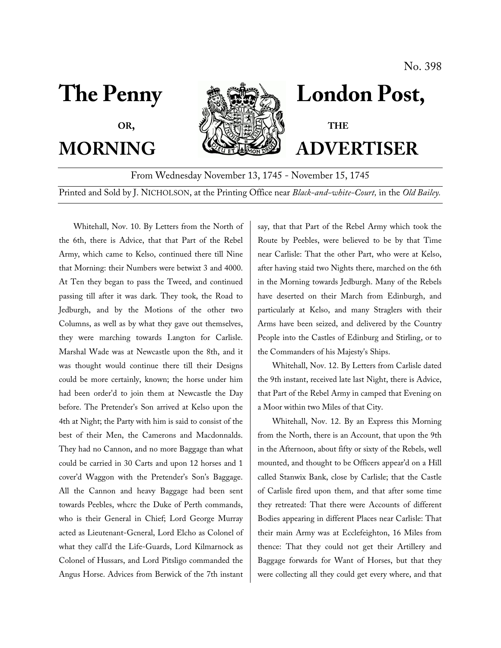

# The Penny **London Post,**

**MORNING WELLER ADVERTISER** 

From Wednesday November 13, 1745 - November 15, 1745

Printed and Sold by J. NICHOLSON, at the Printing Office near *Black-and-white-Court,* in the *Old Bailey.*

Whitehall, Nov. 10. By Letters from the North of the 6th, there is Advice, that that Part of the Rebel Army, which came to Kelso, continued there till Nine that Morning: their Numbers were betwixt 3 and 4000. At Ten they began to pass the Tweed, and continued passing till after it was dark. They took, the Road to Jedburgh, and by the Motions of the other two Columns, as well as by what they gave out themselves, they were marching towards I.angton for Carlisle. Marshal Wade was at Newcastle upon the 8th, and it was thought would continue there till their Designs could be more certainly, known; the horse under him had been order'd to join them at Newcastle the Day before. The Pretender's Son arrived at Kelso upon the 4th at Night; the Party with him is said to consist of the best of their Men, the Camerons and Macdonnalds. They had no Cannon, and no more Baggage than what could be carried in 30 Carts and upon 12 horses and 1 cover'd Waggon with the Pretender's Son's Baggage. All the Cannon and heavy Baggage had been sent towards Peebles, whcrc the Duke of Perth commands, who is their General in Chief; Lord George Murray acted as Lieutenant-Gcneral, Lord Elcho as Colonel of what they call'd the Life-Guards, Lord Kilmarnock as Colonel of Hussars, and Lord Pitsligo commanded the Angus Horse. Advices from Berwick of the 7th instant

say, that that Part of the Rebel Army which took the Route by Peebles, were believed to be by that Time near Carlisle: That the other Part, who were at Kelso, after having staid two Nights there, marched on the 6th in the Morning towards Jedburgh. Many of the Rebels have deserted on their March from Edinburgh, and particularly at Kelso, and many Straglers with their Arms have been seized, and delivered by the Country People into the Castles of Edinburg and Stirling, or to the Commanders of his Majesty's Ships.

Whitehall, Nov. 12. By Letters from Carlisle dated the 9th instant, received late last Night, there is Advice, that Part of the Rebel Army in camped that Evening on a Moor within two Miles of that City.

Whitehall, Nov. 12. By an Express this Morning from the North, there is an Account, that upon the 9th in the Afternoon, about fifty or sixty of the Rebels, well mounted, and thought to be Officers appear'd on a Hill called Stanwix Bank, close by Carlisle; that the Castle of Carlisle fired upon them, and that after some time they retreated: That there were Accounts of different Bodies appearing in different Places near Carlisle: That their main Army was at Ecclefeighton, 16 Miles from thence: That they could not get their Artillery and Baggage forwards for Want of Horses, but that they were collecting all they could get every where, and that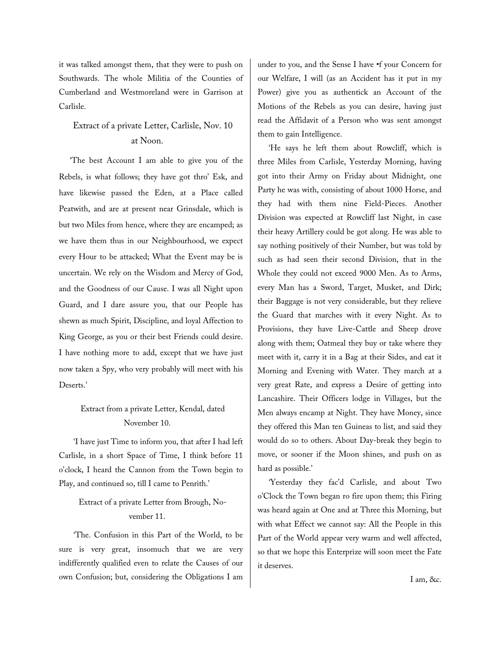it was talked amongst them, that they were to push on Southwards. The whole Militia of the Counties of Cumberland and Westmoreland were in Garrison at Carlisle.

## Extract of a private Letter, Carlisle, Nov. 10 at Noon.

'The best Account I am able to give you of the Rebels, is what follows; they have got thro' Esk, and have likewise passed the Eden, at a Place called Peatwith, and are at present near Grinsdale, which is but two Miles from hence, where they are encamped; as we have them thus in our Neighbourhood, we expect every Hour to be attacked; What the Event may be is uncertain. We rely on the Wisdom and Mercy of God, and the Goodness of our Cause. I was all Night upon Guard, and I dare assure you, that our People has shewn as much Spirit, Discipline, and loyal Affection to King George, as you or their best Friends could desire. I have nothing more to add, except that we have just now taken a Spy, who very probably will meet with his Deserts.'

### Extract from a private Letter, Kendal, dated November 10.

'I have just Time to inform you, that after I had left Carlisle, in a short Space of Time, I think before 11 o'clock, I heard the Cannon from the Town begin to Play, and continued so, till I came to Penrith.'

### Extract of a private Letter from Brough, November 11.

'The. Confusion in this Part of the World, to be sure is very great, insomuch that we are very indifferently qualified even to relate the Causes of our own Confusion; but, considering the Obligations I am under to you, and the Sense I have •f your Concern for our Welfare, I will (as an Accident has it put in my Power) give you as authentick an Account of the Motions of the Rebels as you can desire, having just read the Affidavit of a Person who was sent amongst them to gain Intelligence.

'He says he left them about Rowcliff, which is three Miles from Carlisle, Yesterday Morning, having got into their Army on Friday about Midnight, one Party he was with, consisting of about 1000 Horse, and they had with them nine Field-Pieces. Another Division was expected at Rowcliff last Night, in case their heavy Artillery could be got along. He was able to say nothing positively of their Number, but was told by such as had seen their second Division, that in the Whole they could not exceed 9000 Men. As to Arms, every Man has a Sword, Target, Musket, and Dirk; their Baggage is not very considerable, but they relieve the Guard that marches with it every Night. As to Provisions, they have Live-Cattle and Sheep drove along with them; Oatmeal they buy or take where they meet with it, carry it in a Bag at their Sides, and eat it Morning and Evening with Water. They march at a very great Rate, and express a Desire of getting into Lancashire. Their Officers lodge in Villages, but the Men always encamp at Night. They have Money, since they offered this Man ten Guineas to list, and said they would do so to others. About Day-break they begin to move, or sooner if the Moon shines, and push on as hard as possible.'

'Yesterday they fac'd Carlisle, and about Two o'Clock the Town began ro fire upon them; this Firing was heard again at One and at Three this Morning, but with what Effect we cannot say: All the People in this Part of the World appear very warm and well affected, so that we hope this Enterprize will soon meet the Fate it deserves.

I am, &c.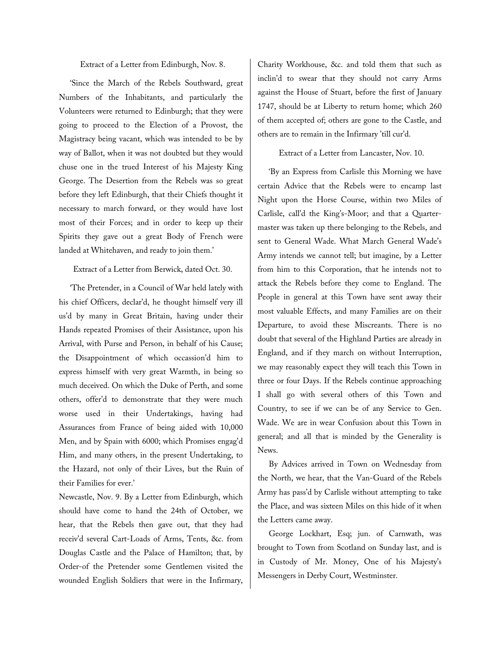Extract of a Letter from Edinburgh, Nov. 8.

'Since the March of the Rebels Southward, great Numbers of the Inhabitants, and particularly the Volunteers were returned to Edinburgh; that they were going to proceed to the Election of a Provost, the Magistracy being vacant, which was intended to be by way of Ballot, when it was not doubted but they would chuse one in the trued Interest of his Majesty King George. The Desertion from the Rebels was so great before they left Edinburgh, that their Chiefs thought it necessary to march forward, or they would have lost most of their Forces; and in order to keep up their Spirits they gave out a great Body of French were landed at Whitehaven, and ready to join them.'

Extract of a Letter from Berwick, dated Oct. 30.

'The Pretender, in a Council of War held lately with his chief Officers, declar'd, he thought himself very ill us'd by many in Great Britain, having under their Hands repeated Promises of their Assistance, upon his Arrival, with Purse and Person, in behalf of his Cause; the Disappointment of which occassion'd him to express himself with very great Warmth, in being so much deceived. On which the Duke of Perth, and some others, offer'd to demonstrate that they were much worse used in their Undertakings, having had Assurances from France of being aided with 10,000 Men, and by Spain with 6000; which Promises engag'd Him, and many others, in the present Undertaking, to the Hazard, not only of their Lives, but the Ruin of their Families for ever.'

Newcastle, Nov. 9. By a Letter from Edinburgh, which should have come to hand the 24th of October, we hear, that the Rebels then gave out, that they had receiv'd several Cart-Loads of Arms, Tents, &c. from Douglas Castle and the Palace of Hamilton; that, by Order-of the Pretender some Gentlemen visited the wounded English Soldiers that were in the Infirmary, Charity Workhouse, &c. and told them that such as inclin'd to swear that they should not carry Arms against the House of Stuart, before the first of January 1747, should be at Liberty to return home; which 260 of them accepted of; others are gone to the Castle, and others are to remain in the Infirmary 'till cur'd.

### Extract of a Letter from Lancaster, Nov. 10.

'By an Express from Carlisle this Morning we have certain Advice that the Rebels were to encamp last Night upon the Horse Course, within two Miles of Carlisle, call'd the King's-Moor; and that a Quartermaster was taken up there belonging to the Rebels, and sent to General Wade. What March General Wade's Army intends we cannot tell; but imagine, by a Letter from him to this Corporation, that he intends not to attack the Rebels before they come to England. The People in general at this Town have sent away their most valuable Effects, and many Families are on their Departure, to avoid these Miscreants. There is no doubt that several of the Highland Parties are already in England, and if they march on without Interruption, we may reasonably expect they will teach this Town in three or four Days. If the Rebels continue approaching I shall go with several others of this Town and Country, to see if we can be of any Service to Gen. Wade. We are in wear Confusion about this Town in general; and all that is minded by the Generality is News.

By Advices arrived in Town on Wednesday from the North, we hear, that the Van-Guard of the Rebels Army has pass'd by Carlisle without attempting to take the Place, and was sixteen Miles on this hide of it when the Letters came away.

George Lockhart, Esq; jun. of Carnwath, was brought to Town from Scotland on Sunday last, and is in Custody of Mr. Money, One of his Majesty's Messengers in Derby Court, Westminster.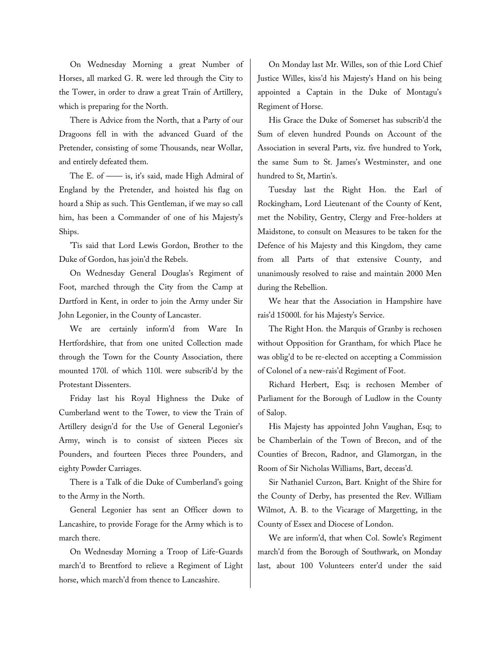On Wednesday Morning a great Number of Horses, all marked G. R. were led through the City to the Tower, in order to draw a great Train of Artillery, which is preparing for the North.

There is Advice from the North, that a Party of our Dragoons fell in with the advanced Guard of the Pretender, consisting of some Thousands, near Wollar, and entirely defeated them.

The E. of  $\frac{1}{\sqrt{2}}$  is, it's said, made High Admiral of England by the Pretender, and hoisted his flag on hoard a Ship as such. This Gentleman, if we may so call him, has been a Commander of one of his Majesty's Ships.

'Tis said that Lord Lewis Gordon, Brother to the Duke of Gordon, has join'd the Rebels.

On Wednesday General Douglas's Regiment of Foot, marched through the City from the Camp at Dartford in Kent, in order to join the Army under Sir John Legonier, in the County of Lancaster.

We are certainly inform'd from Ware In Hertfordshire, that from one united Collection made through the Town for the County Association, there mounted 170l. of which 110l. were subscrib'd by the Protestant Dissenters.

Friday last his Royal Highness the Duke of Cumberland went to the Tower, to view the Train of Artillery design'd for the Use of General Legonier's Army, winch is to consist of sixteen Pieces six Pounders, and fourteen Pieces three Pounders, and eighty Powder Carriages.

There is a Talk of die Duke of Cumberland's going to the Army in the North.

General Legonier has sent an Officer down to Lancashire, to provide Forage for the Army which is to march there.

On Wednesday Morning a Troop of Life-Guards march'd to Brentford to relieve a Regiment of Light horse, which march'd from thence to Lancashire.

On Monday last Mr. Willes, son of thie Lord Chief Justice Willes, kiss'd his Majesty's Hand on his being appointed a Captain in the Duke of Montagu's Regiment of Horse.

His Grace the Duke of Somerset has subscrib'd the Sum of eleven hundred Pounds on Account of the Association in several Parts, viz. five hundred to York, the same Sum to St. James's Westminster, and one hundred to St, Martin's.

Tuesday last the Right Hon. the Earl of Rockingham, Lord Lieutenant of the County of Kent, met the Nobility, Gentry, Clergy and Free-holders at Maidstone, to consult on Measures to be taken for the Defence of his Majesty and this Kingdom, they came from all Parts of that extensive County, and unanimously resolved to raise and maintain 2000 Men during the Rebellion.

We hear that the Association in Hampshire have rais'd 15000l. for his Majesty's Service.

The Right Hon. the Marquis of Granby is rechosen without Opposition for Grantham, for which Place he was oblig'd to be re-elected on accepting a Commission of Colonel of a new-rais'd Regiment of Foot.

Richard Herbert, Esq; is rechosen Member of Parliament for the Borough of Ludlow in the County of Salop.

His Majesty has appointed John Vaughan, Esq; to be Chamberlain of the Town of Brecon, and of the Counties of Brecon, Radnor, and Glamorgan, in the Room of Sir Nicholas Williams, Bart, deceas'd.

Sir Nathaniel Curzon, Bart. Knight of the Shire for the County of Derby, has presented the Rev. William Wilmot, A. B. to the Vicarage of Margetting, in the County of Essex and Diocese of London.

We are inform'd, that when Col. Sowle's Regiment march'd from the Borough of Southwark, on Monday last, about 100 Volunteers enter'd under the said